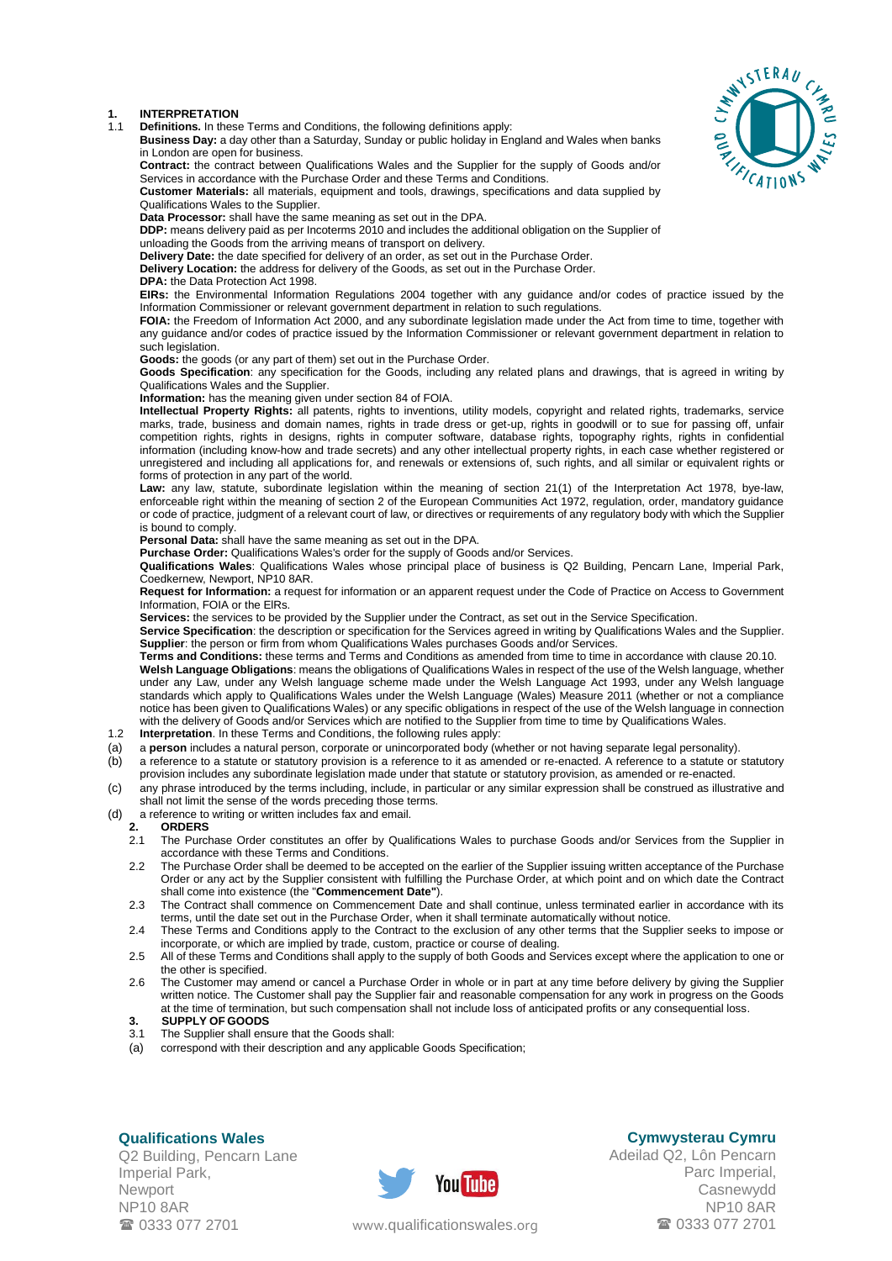### **1. INTERPRETATION**

1.1 **Definitions.** In these Terms and Conditions, the following definitions apply:

**Business Day:** a day other than a Saturday, Sunday or public holiday in England and Wales when banks in London are open for business.

**Contract:** the contract between Qualifications Wales and the Supplier for the supply of Goods and/or Services in accordance with the Purchase Order and these Terms and Conditions.

**Customer Materials:** all materials, equipment and tools, drawings, specifications and data supplied by Qualifications Wales to the Supplier.

**Data Processor:** shall have the same meaning as set out in the DPA.

**DDP:** means delivery paid as per Incoterms 2010 and includes the additional obligation on the Supplier of

unloading the Goods from the arriving means of transport on delivery.

**Delivery Date:** the date specified for delivery of an order, as set out in the Purchase Order. **Delivery Location:** the address for delivery of the Goods, as set out in the Purchase Order.

**DPA:** the Data Protection Act 1998.

**EIRs:** the Environmental Information Regulations 2004 together with any guidance and/or codes of practice issued by the Information Commissioner or relevant government department in relation to such regulations.

**FOIA:** the Freedom of Information Act 2000, and any subordinate legislation made under the Act from time to time, together with any guidance and/or codes of practice issued by the Information Commissioner or relevant government department in relation to such legislation.

**Goods:** the goods (or any part of them) set out in the Purchase Order.

**Goods Specification**: any specification for the Goods, including any related plans and drawings, that is agreed in writing by Qualifications Wales and the Supplier.

**Information:** has the meaning given under section 84 of FOIA.

**Intellectual Property Rights:** all patents, rights to inventions, utility models, copyright and related rights, trademarks, service marks, trade, business and domain names, rights in trade dress or get-up, rights in goodwill or to sue for passing off, unfair competition rights, rights in designs, rights in computer software, database rights, topography rights, rights in confidential information (including know-how and trade secrets) and any other intellectual property rights, in each case whether registered or unregistered and including all applications for, and renewals or extensions of, such rights, and all similar or equivalent rights or forms of protection in any part of the world.

**Law:** any law, statute, subordinate legislation within the meaning of section 21(1) of the Interpretation Act 1978, bye-law, enforceable right within the meaning of section 2 of the European Communities Act 1972, regulation, order, mandatory guidance or code of practice, judgment of a relevant court of law, or directives or requirements of any regulatory body with which the Supplier is bound to comply.

**Personal Data:** shall have the same meaning as set out in the DPA.

Purchase Order: Qualifications Wales's order for the supply of Goods and/or Services.

**Qualifications Wales**: Qualifications Wales whose principal place of business is Q2 Building, Pencarn Lane, Imperial Park, Coedkernew, Newport, NP10 8AR.

**Request for Information:** a request for information or an apparent request under the Code of Practice on Access to Government Information, FOIA or the ElRs.

**Services:** the services to be provided by the Supplier under the Contract, as set out in the Service Specification.

**Service Specification**: the description or specification for the Services agreed in writing by Qualifications Wales and the Supplier. **Supplier**: the person or firm from whom Qualifications Wales purchases Goods and/or Services.

**Terms and Conditions:** these terms and Terms and Conditions as amended from time to time in accordance with claus[e 20.10.](#page-4-0) **Welsh Language Obligations**: means the obligations of Qualifications Wales in respect of the use of the Welsh language, whether under any Law, under any Welsh language scheme made under the Welsh Language Act 1993, under any Welsh language standards which apply to Qualifications Wales under the Welsh Language (Wales) Measure 2011 (whether or not a compliance notice has been given to Qualifications Wales) or any specific obligations in respect of the use of the Welsh language in connection with the delivery of Goods and/or Services which are notified to the Supplier from time to time by Qualifications Wales.

- 1.2 **Interpretation**. In these Terms and Conditions, the following rules apply:
- (a) a **person** includes a natural person, corporate or unincorporated body (whether or not having separate legal personality).
- (b) a reference to a statute or statutory provision is a reference to it as amended or re-enacted. A reference to a statute or statutory provision includes any subordinate legislation made under that statute or statutory provision, as amended or re-enacted.
- (c) any phrase introduced by the terms including, include, in particular or any similar expression shall be construed as illustrative and shall not limit the sense of the words preceding those terms.
- (d) a reference to writing or written includes fax and email.<br>2. **ORDERS**
- **2. ORDERS**
	- 2.1 The Purchase Order constitutes an offer by Qualifications Wales to purchase Goods and/or Services from the Supplier in accordance with these Terms and Conditions.
	- 2.2 The Purchase Order shall be deemed to be accepted on the earlier of the Supplier issuing written acceptance of the Purchase Order or any act by the Supplier consistent with fulfilling the Purchase Order, at which point and on which date the Contract shall come into existence (the "**Commencement Date"**).
	- 2.3 The Contract shall commence on Commencement Date and shall continue, unless terminated earlier in accordance with its terms, until the date set out in the Purchase Order, when it shall terminate automatically without notice.
	- 2.4 These Terms and Conditions apply to the Contract to the exclusion of any other terms that the Supplier seeks to impose or incorporate, or which are implied by trade, custom, practice or course of dealing.
	- 2.5 All of these Terms and Conditions shall apply to the supply of both Goods and Services except where the application to one or the other is specified.
	- 2.6 The Customer may amend or cancel a Purchase Order in whole or in part at any time before delivery by giving the Supplier written notice. The Customer shall pay the Supplier fair and reasonable compensation for any work in progress on the Goods at the time of termination, but such compensation shall not include loss of anticipated profits or any consequential loss. **3. SUPPLY OF GOODS**
	-
	- 3.1 The Supplier shall ensure that the Goods shall:
	- (a) correspond with their description and any applicable Goods Specification;

# <span id="page-0-1"></span><span id="page-0-0"></span>**Qualifications Wales**

Q2 Building, Pencarn Lane Imperial Park, Newport NP10 8AR 0333 077 2701



**Cymwysterau Cymru**

Adeilad Q2, Lôn Pencarn Parc Imperial, Casnewydd NP10 8AR www.[qualificationswales](http://qualificationswales.org/Splash).org **1946** 0333 077 2701

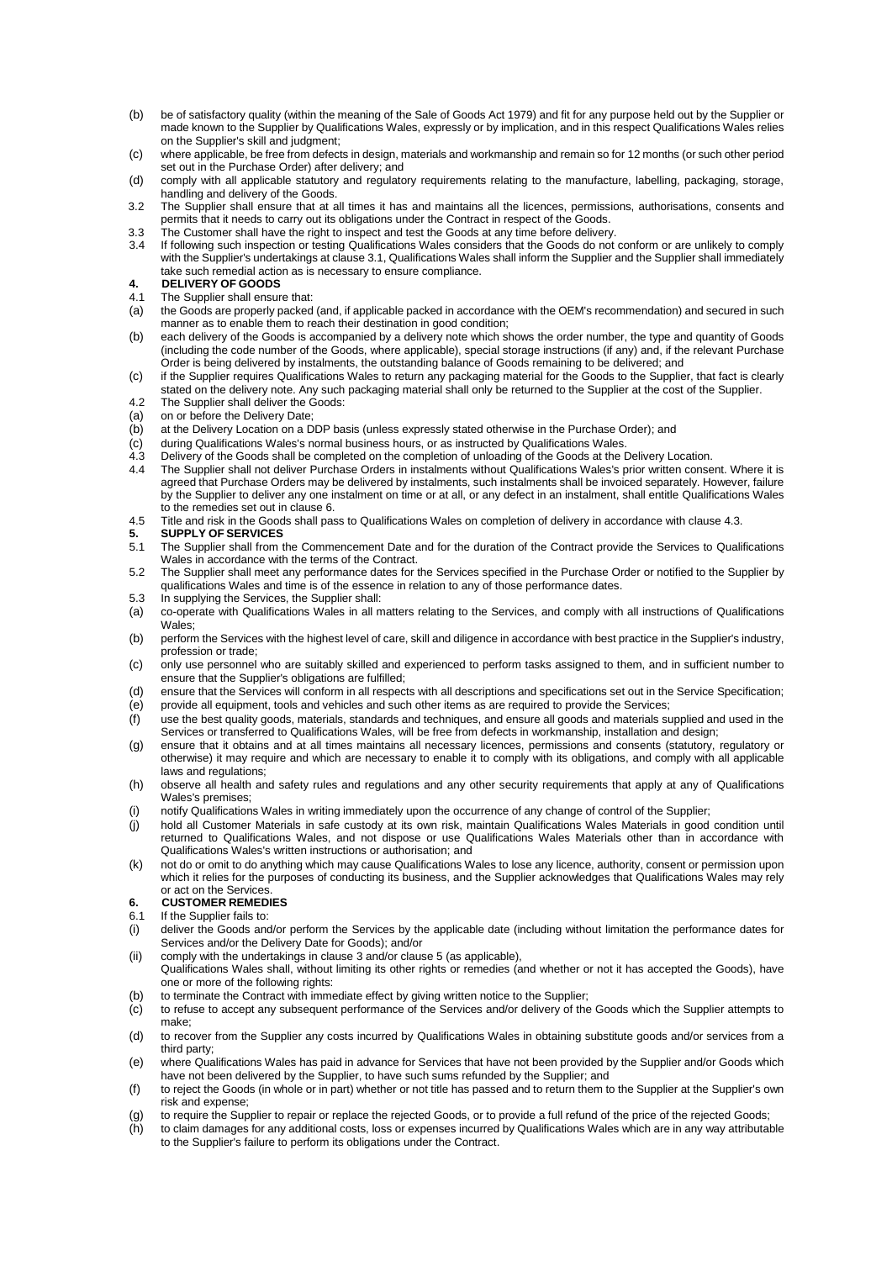- (b) be of satisfactory quality (within the meaning of the Sale of Goods Act 1979) and fit for any purpose held out by the Supplier or made known to the Supplier by Qualifications Wales, expressly or by implication, and in this respect Qualifications Wales relies on the Supplier's skill and judgment;
- (c) where applicable, be free from defects in design, materials and workmanship and remain so for 12 months (or such other period set out in the Purchase Order) after delivery; and
- (d) comply with all applicable statutory and regulatory requirements relating to the manufacture, labelling, packaging, storage, handling and delivery of the Goods.
- 3.2 The Supplier shall ensure that at all times it has and maintains all the licences, permissions, authorisations, consents and permits that it needs to carry out its obligations under the Contract in respect of the Goods.
- 3.3 The Customer shall have the right to inspect and test the Goods at any time before delivery.
- 3.4 If following such inspection or testing Qualifications Wales considers that the Goods do not conform or are unlikely to comply with the Supplier's undertakings at claus[e 3.1,](#page-0-0) Qualifications Wales shall inform the Supplier and the Supplier shall immediately take such remedial action as is necessary to ensure compliance.
- **4. DELIVERY OF GOODS**
- 4.1 The Supplier shall ensure that:
- (a) the Goods are properly packed (and, if applicable packed in accordance with the OEM's recommendation) and secured in such manner as to enable them to reach their destination in good condition;
- (b) each delivery of the Goods is accompanied by a delivery note which shows the order number, the type and quantity of Goods (including the code number of the Goods, where applicable), special storage instructions (if any) and, if the relevant Purchase Order is being delivered by instalments, the outstanding balance of Goods remaining to be delivered; and
- (c) if the Supplier requires Qualifications Wales to return any packaging material for the Goods to the Supplier, that fact is clearly stated on the delivery note. Any such packaging material shall only be returned to the Supplier at the cost of the Supplier.
- 4.2 The Supplier shall deliver the Goods:<br>(a) on or before the Delivery Date;
- (a) on or before the Delivery Date;<br>(b) at the Delivery Location on a D at the Delivery Location on a DDP basis (unless expressly stated otherwise in the Purchase Order); and
- (c) during Qualifications Wales's normal business hours, or as instructed by Qualifications Wales.
- <span id="page-1-1"></span>4.3 Delivery of the Goods shall be completed on the completion of unloading of the Goods at the Delivery Location.
- 4.4 The Supplier shall not deliver Purchase Orders in instalments without Qualifications Wales's prior written consent. Where it is agreed that Purchase Orders may be delivered by instalments, such instalments shall be invoiced separately. However, failure by the Supplier to deliver any one instalment on time or at all, or any defect in an instalment, shall entitle Qualifications Wales to the remedies set out in claus[e 6.](#page-1-0)
- 4.5 Title and risk in the Goods shall pass to Qualifications Wales on completion of delivery in accordance with claus[e 4.3.](#page-1-1)<br>5. SUPPLY OF SERVICES
- <span id="page-1-2"></span>**5. SUPPLY OF SERVICES**
- The Supplier shall from the Commencement Date and for the duration of the Contract provide the Services to Qualifications Wales in accordance with the terms of the Contract.
- 5.2 The Supplier shall meet any performance dates for the Services specified in the Purchase Order or notified to the Supplier by qualifications Wales and time is of the essence in relation to any of those performance dates.
- 5.3 In supplying the Services, the Supplier shall:
- (a) co-operate with Qualifications Wales in all matters relating to the Services, and comply with all instructions of Qualifications Wales;
- (b) perform the Services with the highest level of care, skill and diligence in accordance with best practice in the Supplier's industry, profession or trade;
- (c) only use personnel who are suitably skilled and experienced to perform tasks assigned to them, and in sufficient number to ensure that the Supplier's obligations are fulfilled;
- (d) ensure that the Services will conform in all respects with all descriptions and specifications set out in the Service Specification;
- (e) provide all equipment, tools and vehicles and such other items as are required to provide the Services;
- (f) use the best quality goods, materials, standards and techniques, and ensure all goods and materials supplied and used in the Services or transferred to Qualifications Wales, will be free from defects in workmanship, installation and design;
- (g) ensure that it obtains and at all times maintains all necessary licences, permissions and consents (statutory, regulatory or otherwise) it may require and which are necessary to enable it to comply with its obligations, and comply with all applicable laws and regulations:
- (h) observe all health and safety rules and regulations and any other security requirements that apply at any of Qualifications Wales's premises;
- (i) notify Qualifications Wales in writing immediately upon the occurrence of any change of control of the Supplier;<br>(i) hold all Customer Materials in safe custody at its own risk, maintain Qualifications Wales Materials
- hold all Customer Materials in safe custody at its own risk, maintain Qualifications Wales Materials in good condition until returned to Qualifications Wales, and not dispose or use Qualifications Wales Materials other than in accordance with Qualifications Wales's written instructions or authorisation; and
- (k) not do or omit to do anything which may cause Qualifications Wales to lose any licence, authority, consent or permission upon which it relies for the purposes of conducting its business, and the Supplier acknowledges that Qualifications Wales may rely or act on the Services.

# <span id="page-1-0"></span>**6. CUSTOMER REMEDIES**

- If the Supplier fails to:
- (i) deliver the Goods and/or perform the Services by the applicable date (including without limitation the performance dates for Services and/or the Delivery Date for Goods); and/or
- (ii) comply with the undertakings in clause [3](#page-0-1) and/or claus[e 5](#page-1-2) (as applicable),
- Qualifications Wales shall, without limiting its other rights or remedies (and whether or not it has accepted the Goods), have one or more of the following rights:
- (b) to terminate the Contract with immediate effect by giving written notice to the Supplier;
- (c) to refuse to accept any subsequent performance of the Services and/or delivery of the Goods which the Supplier attempts to make;
- (d) to recover from the Supplier any costs incurred by Qualifications Wales in obtaining substitute goods and/or services from a third party;
- (e) where Qualifications Wales has paid in advance for Services that have not been provided by the Supplier and/or Goods which have not been delivered by the Supplier, to have such sums refunded by the Supplier; and
- (f) to reject the Goods (in whole or in part) whether or not title has passed and to return them to the Supplier at the Supplier's own risk and expense;
- (g) to require the Supplier to repair or replace the rejected Goods, or to provide a full refund of the price of the rejected Goods;
- (h) to claim damages for any additional costs, loss or expenses incurred by Qualifications Wales which are in any way attributable to the Supplier's failure to perform its obligations under the Contract.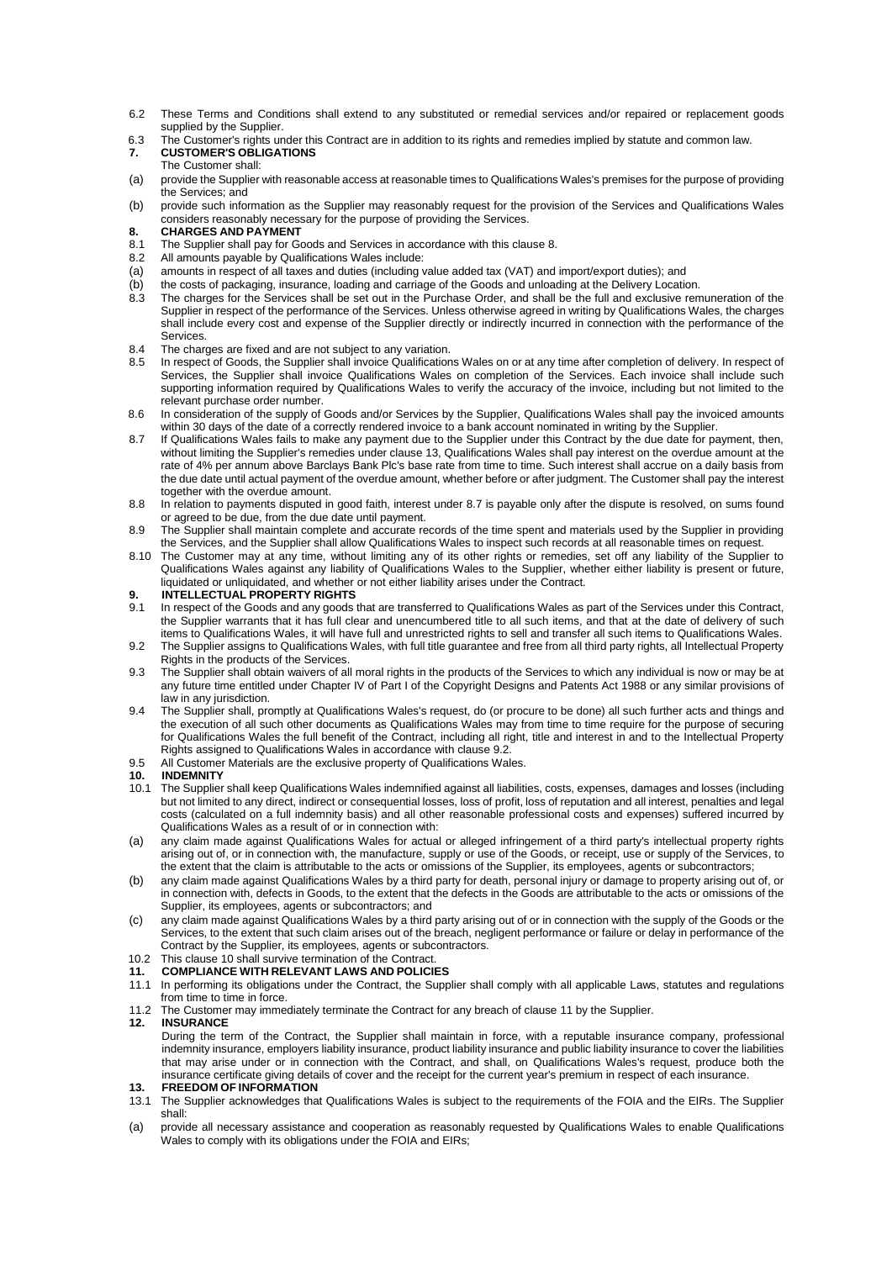- 6.2 These Terms and Conditions shall extend to any substituted or remedial services and/or repaired or replacement goods supplied by the Supplier.
- 6.3 The Customer's rights under this Contract are in addition to its rights and remedies implied by statute and common law. **7. CUSTOMER'S OBLIGATIONS**

# The Customer shall:

- (a) provide the Supplier with reasonable access at reasonable times to Qualifications Wales's premises for the purpose of providing the Services; and
- (b) provide such information as the Supplier may reasonably request for the provision of the Services and Qualifications Wales considers reasonably necessary for the purpose of providing the Services.
- <span id="page-2-0"></span>**8. CHARGES AND PAYMENT**
- 8.1 The Supplier shall pay for Goods and Services in accordance with this clause [8.](#page-2-0)<br>8.2 All amounts payable by Qualifications Wales include:
- All amounts payable by Qualifications Wales include:
- (a) amounts in respect of all taxes and duties (including value added tax (VAT) and import/export duties); and<br>(b) the costs of packaging, insurance, loading and carriage of the Goods and unloading at the Delivery Location
- the costs of packaging, insurance, loading and carriage of the Goods and unloading at the Delivery Location. 8.3 The charges for the Services shall be set out in the Purchase Order, and shall be the full and exclusive remuneration of the
- Supplier in respect of the performance of the Services. Unless otherwise agreed in writing by Qualifications Wales, the charges shall include every cost and expense of the Supplier directly or indirectly incurred in connection with the performance of the Services.
- 8.4 The charges are fixed and are not subject to any variation.<br>8.5 In respect of Goods, the Supplier shall invoice Qualification
- 8.5 In respect of Goods, the Supplier shall invoice Qualifications Wales on or at any time after completion of delivery. In respect of Services, the Supplier shall invoice Qualifications Wales on completion of the Services. Each invoice shall include such supporting information required by Qualifications Wales to verify the accuracy of the invoice, including but not limited to the relevant purchase order number.
- 8.6 In consideration of the supply of Goods and/or Services by the Supplier, Qualifications Wales shall pay the invoiced amounts within 30 days of the date of a correctly rendered invoice to a bank account nominated in writing by the Supplier.
- <span id="page-2-2"></span>8.7 If Qualifications Wales fails to make any payment due to the Supplier under this Contract by the due date for payment, then, without limiting the Supplier's remedies under claus[e 13,](#page-2-1) Qualifications Wales shall pay interest on the overdue amount at the rate of 4% per annum above Barclays Bank Plc's base rate from time to time. Such interest shall accrue on a daily basis from the due date until actual payment of the overdue amount, whether before or after judgment. The Customer shall pay the interest together with the overdue amount.
- 8.8 In relation to payments disputed in good faith, interest under [8.7](#page-2-2) is payable only after the dispute is resolved, on sums found or agreed to be due, from the due date until payment.
- 8.9 The Supplier shall maintain complete and accurate records of the time spent and materials used by the Supplier in providing the Services, and the Supplier shall allow Qualifications Wales to inspect such records at all reasonable times on request.
- 8.10 The Customer may at any time, without limiting any of its other rights or remedies, set off any liability of the Supplier to Qualifications Wales against any liability of Qualifications Wales to the Supplier, whether either liability is present or future, liquidated or unliquidated, and whether or not either liability arises under the Contract.
- **9. INTELLECTUAL PROPERTY RIGHTS**
- 9.1 In respect of the Goods and any goods that are transferred to Qualifications Wales as part of the Services under this Contract, the Supplier warrants that it has full clear and unencumbered title to all such items, and that at the date of delivery of such items to Qualifications Wales, it will have full and unrestricted rights to sell and transfer all such items to Qualifications Wales.
- <span id="page-2-3"></span>9.2 The Supplier assigns to Qualifications Wales, with full title guarantee and free from all third party rights, all Intellectual Property Rights in the products of the Services.
- 9.3 The Supplier shall obtain waivers of all moral rights in the products of the Services to which any individual is now or may be at any future time entitled under Chapter IV of Part I of the Copyright Designs and Patents Act 1988 or any similar provisions of law in any jurisdiction.
- 9.4 The Supplier shall, promptly at Qualifications Wales's request, do (or procure to be done) all such further acts and things and the execution of all such other documents as Qualifications Wales may from time to time require for the purpose of securing for Qualifications Wales the full benefit of the Contract, including all right, title and interest in and to the Intellectual Property Rights assigned to Qualifications Wales in accordance with claus[e 9.2.](#page-2-3)
- 9.5 All Customer Materials are the exclusive property of Qualifications Wales.

# <span id="page-2-4"></span>**10. INDEMNITY**

- 10.1 The Supplier shall keep Qualifications Wales indemnified against all liabilities, costs, expenses, damages and losses (including but not limited to any direct, indirect or consequential losses, loss of profit, loss of reputation and all interest, penalties and legal costs (calculated on a full indemnity basis) and all other reasonable professional costs and expenses) suffered incurred by Qualifications Wales as a result of or in connection with:
- (a) any claim made against Qualifications Wales for actual or alleged infringement of a third party's intellectual property rights arising out of, or in connection with, the manufacture, supply or use of the Goods, or receipt, use or supply of the Services, to the extent that the claim is attributable to the acts or omissions of the Supplier, its employees, agents or subcontractors;
- (b) any claim made against Qualifications Wales by a third party for death, personal injury or damage to property arising out of, or in connection with, defects in Goods, to the extent that the defects in the Goods are attributable to the acts or omissions of the Supplier, its employees, agents or subcontractors; and
- (c) any claim made against Qualifications Wales by a third party arising out of or in connection with the supply of the Goods or the Services, to the extent that such claim arises out of the breach, negligent performance or failure or delay in performance of the Contract by the Supplier, its employees, agents or subcontractors.
- 10.2 This claus[e 10](#page-2-4) shall survive termination of the Contract.
- <span id="page-2-5"></span>**11. COMPLIANCE WITH RELEVANT LAWS AND POLICIES**
- 11.1 In performing its obligations under the Contract, the Supplier shall comply with all applicable Laws, statutes and regulations from time to time in force.
- 11.2 The Customer may immediately terminate the Contract for any breach of clause [11](#page-2-5) by the Supplier.

#### **12. INSURANCE**

During the term of the Contract, the Supplier shall maintain in force, with a reputable insurance company, professional indemnity insurance, employers liability insurance, product liability insurance and public liability insurance to cover the liabilities that may arise under or in connection with the Contract, and shall, on Qualifications Wales's request, produce both the insurance certificate giving details of cover and the receipt for the current year's premium in respect of each insurance.

#### <span id="page-2-1"></span>**13. FREEDOM OF INFORMATION**

- 13.1 The Supplier acknowledges that Qualifications Wales is subject to the requirements of the FOIA and the EIRs. The Supplier shall:
- (a) provide all necessary assistance and cooperation as reasonably requested by Qualifications Wales to enable Qualifications Wales to comply with its obligations under the FOIA and EIRs;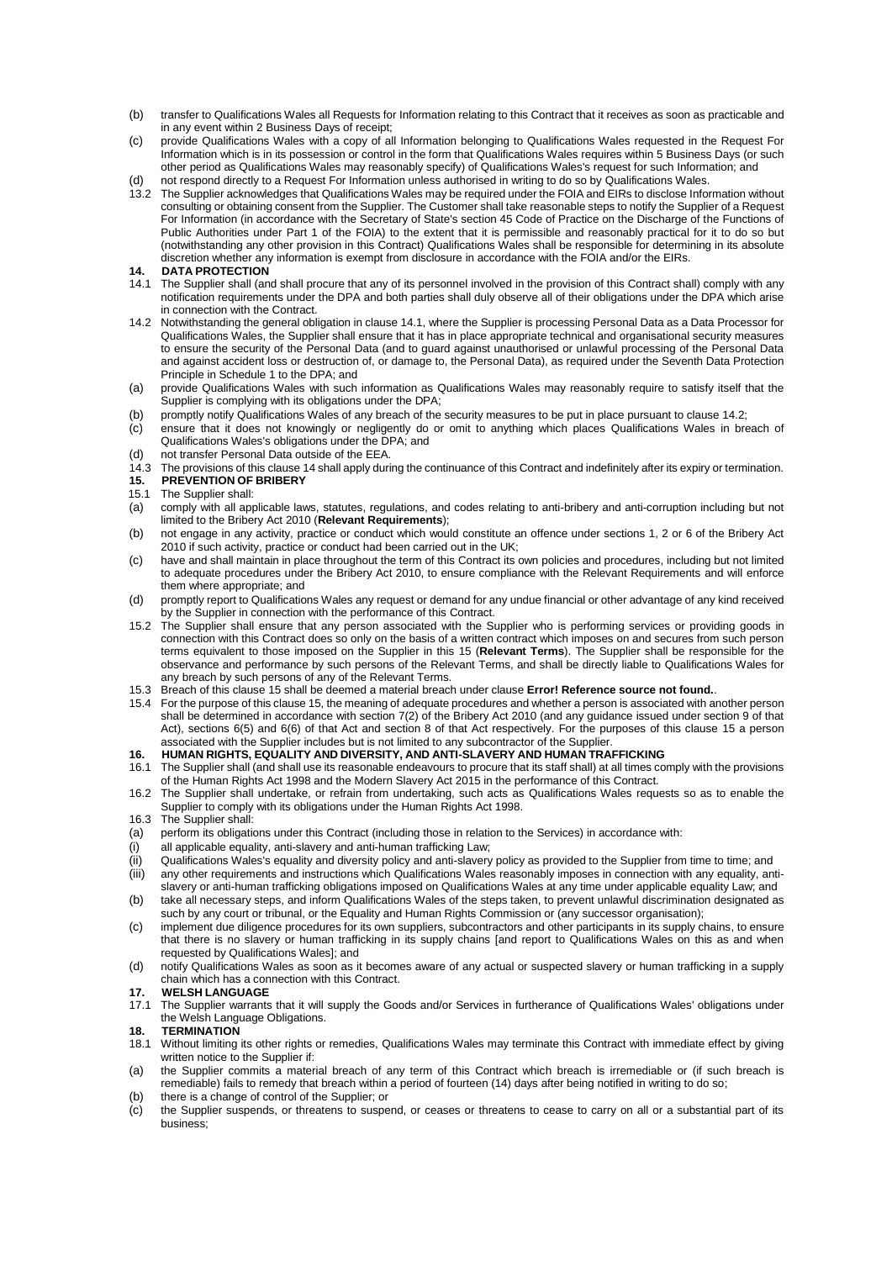- (b) transfer to Qualifications Wales all Requests for Information relating to this Contract that it receives as soon as practicable and in any event within 2 Business Days of receipt;
- (c) provide Qualifications Wales with a copy of all Information belonging to Qualifications Wales requested in the Request For Information which is in its possession or control in the form that Qualifications Wales requires within 5 Business Days (or such other period as Qualifications Wales may reasonably specify) of Qualifications Wales's request for such Information; and
- (d) not respond directly to a Request For Information unless authorised in writing to do so by Qualifications Wales.
- 13.2 The Supplier acknowledges that Qualifications Wales may be required under the FOIA and EIRs to disclose Information without consulting or obtaining consent from the Supplier. The Customer shall take reasonable steps to notify the Supplier of a Request For Information (in accordance with the Secretary of State's section 45 Code of Practice on the Discharge of the Functions of Public Authorities under Part 1 of the FOIA) to the extent that it is permissible and reasonably practical for it to do so but (notwithstanding any other provision in this Contract) Qualifications Wales shall be responsible for determining in its absolute discretion whether any information is exempt from disclosure in accordance with the FOIA and/or the EIRs.

#### <span id="page-3-2"></span>**14. DATA PROTECTION**

- <span id="page-3-0"></span>14.1 The Supplier shall (and shall procure that any of its personnel involved in the provision of this Contract shall) comply with any notification requirements under the DPA and both parties shall duly observe all of their obligations under the DPA which arise in connection with the Contract.
- <span id="page-3-1"></span>14.2 Notwithstanding the general obligation in claus[e 14.1,](#page-3-0) where the Supplier is processing Personal Data as a Data Processor for Qualifications Wales, the Supplier shall ensure that it has in place appropriate technical and organisational security measures to ensure the security of the Personal Data (and to guard against unauthorised or unlawful processing of the Personal Data and against accident loss or destruction of, or damage to, the Personal Data), as required under the Seventh Data Protection Principle in Schedule 1 to the DPA; and
- (a) provide Qualifications Wales with such information as Qualifications Wales may reasonably require to satisfy itself that the Supplier is complying with its obligations under the DPA;
- (b) promptly notify Qualifications Wales of any breach of the security measures to be put in place pursuant to claus[e 14.2;](#page-3-1)
- (c) ensure that it does not knowingly or negligently do or omit to anything which places Qualifications Wales in breach of Qualifications Wales's obligations under the DPA; and
- (d) not transfer Personal Data outside of the EEA.
- 14.3 The provisions of this claus[e 14](#page-3-2) shall apply during the continuance of this Contract and indefinitely after its expiry or termination.
- <span id="page-3-3"></span>**15. PREVENTION OF BRIBERY**
- 15.1 The Supplier shall:
- (a) comply with all applicable laws, statutes, regulations, and codes relating to anti-bribery and anti-corruption including but not limited to the Bribery Act 2010 (**Relevant Requirements**);
- (b) not engage in any activity, practice or conduct which would constitute an offence under sections 1, 2 or 6 of the Bribery Act 2010 if such activity, practice or conduct had been carried out in the UK;
- (c) have and shall maintain in place throughout the term of this Contract its own policies and procedures, including but not limited to adequate procedures under the Bribery Act 2010, to ensure compliance with the Relevant Requirements and will enforce them where appropriate; and
- (d) promptly report to Qualifications Wales any request or demand for any undue financial or other advantage of any kind received by the Supplier in connection with the performance of this Contract.
- 15.2 The Supplier shall ensure that any person associated with the Supplier who is performing services or providing goods in connection with this Contract does so only on the basis of a written contract which imposes on and secures from such person terms equivalent to those imposed on the Supplier in this [15](#page-3-3) (**Relevant Terms**). The Supplier shall be responsible for the observance and performance by such persons of the Relevant Terms, and shall be directly liable to Qualifications Wales for any breach by such persons of any of the Relevant Terms.
- 15.3 Breach of this claus[e 15](#page-3-3) shall be deemed a material breach under clause **Error! Reference source not found.**.
- 15.4 For the purpose of this claus[e 15,](#page-3-3) the meaning of adequate procedures and whether a person is associated with another person shall be determined in accordance with section 7(2) of the Bribery Act 2010 (and any guidance issued under section 9 of that Act), sections 6(5) and 6(6) of that Act and section 8 of that Act respectively. For the purposes of this clause [15](#page-3-3) a person associated with the Supplier includes but is not limited to any subcontractor of the Supplier.

#### **16. HUMAN RIGHTS, EQUALITY AND DIVERSITY, AND ANTI-SLAVERY AND HUMAN TRAFFICKING**

- 16.1 The Supplier shall (and shall use its reasonable endeavours to procure that its staff shall) at all times comply with the provisions of the Human Rights Act 1998 and the Modern Slavery Act 2015 in the performance of this Contract.
- 16.2 The Supplier shall undertake, or refrain from undertaking, such acts as Qualifications Wales requests so as to enable the Supplier to comply with its obligations under the Human Rights Act 1998.
- 16.3 The Supplier shall:
- (a) perform its obligations under this Contract (including those in relation to the Services) in accordance with:
- (i) all applicable equality, anti-slavery and anti-human trafficking Law;
- (ii) Qualifications Wales's equality and diversity policy and anti-slavery policy as provided to the Supplier from time to time; and
- (iii) any other requirements and instructions which Qualifications Wales reasonably imposes in connection with any equality, antislavery or anti-human trafficking obligations imposed on Qualifications Wales at any time under applicable equality Law; and
- (b) take all necessary steps, and inform Qualifications Wales of the steps taken, to prevent unlawful discrimination designated as such by any court or tribunal, or the Equality and Human Rights Commission or (any successor organisation);
- (c) implement due diligence procedures for its own suppliers, subcontractors and other participants in its supply chains, to ensure that there is no slavery or human trafficking in its supply chains [and report to Qualifications Wales on this as and when requested by Qualifications Wales]; and
- (d) notify Qualifications Wales as soon as it becomes aware of any actual or suspected slavery or human trafficking in a supply chain which has a connection with this Contract.

### **17. WELSH LANGUAGE**

17.1 The Supplier warrants that it will supply the Goods and/or Services in furtherance of Qualifications Wales' obligations under the Welsh Language Obligations.

# **18. TERMINATION**

- 18.1 Without limiting its other rights or remedies, Qualifications Wales may terminate this Contract with immediate effect by giving written notice to the Supplier if:
- (a) the Supplier commits a material breach of any term of this Contract which breach is irremediable or (if such breach is remediable) fails to remedy that breach within a period of fourteen (14) days after being notified in writing to do so;
- (b) there is a change of control of the Supplier; or
- (c) the Supplier suspends, or threatens to suspend, or ceases or threatens to cease to carry on all or a substantial part of its business;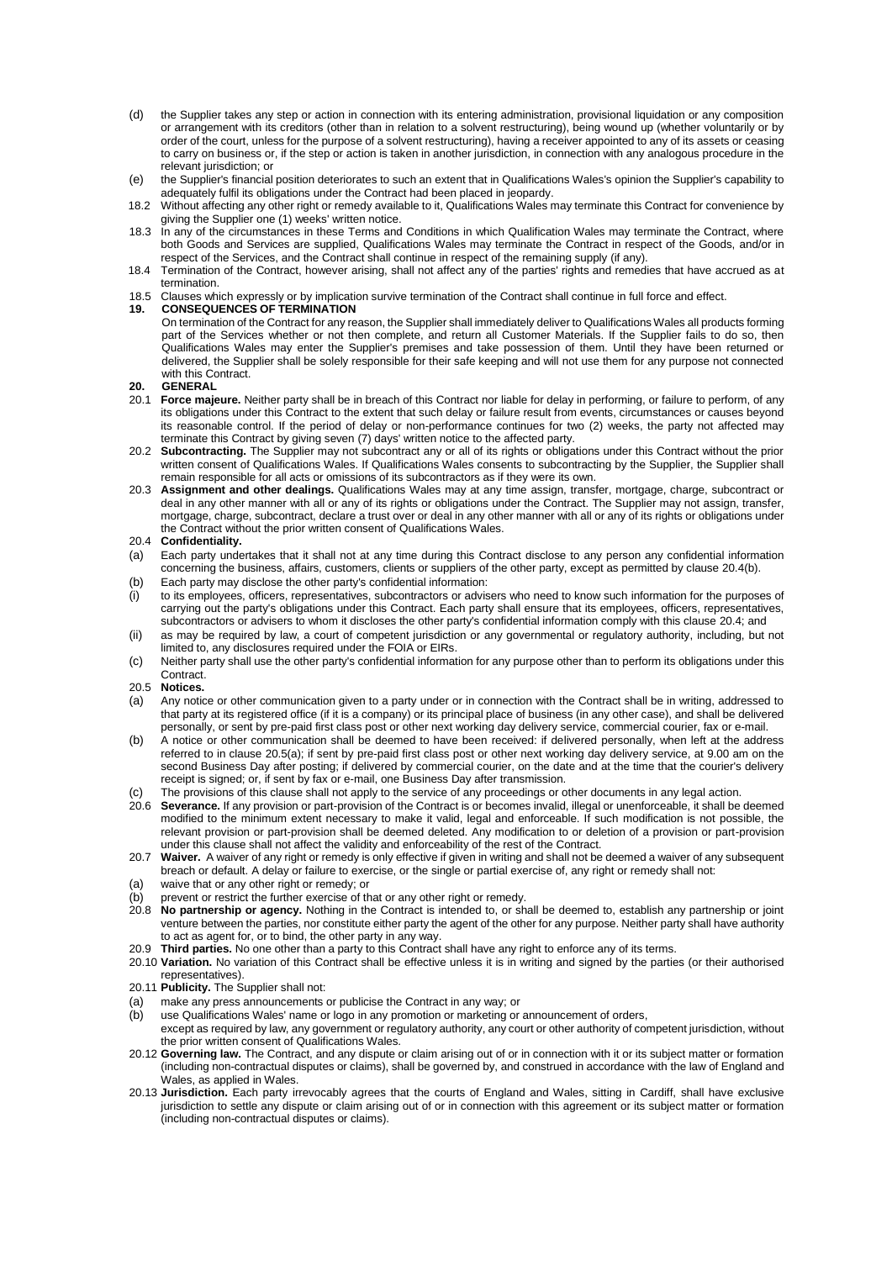- (d) the Supplier takes any step or action in connection with its entering administration, provisional liquidation or any composition or arrangement with its creditors (other than in relation to a solvent restructuring), being wound up (whether voluntarily or by order of the court, unless for the purpose of a solvent restructuring), having a receiver appointed to any of its assets or ceasing to carry on business or, if the step or action is taken in another jurisdiction, in connection with any analogous procedure in the relevant jurisdiction; or
- (e) the Supplier's financial position deteriorates to such an extent that in Qualifications Wales's opinion the Supplier's capability to adequately fulfil its obligations under the Contract had been placed in jeopardy.
- 18.2 Without affecting any other right or remedy available to it, Qualifications Wales may terminate this Contract for convenience by giving the Supplier one (1) weeks' written notice.
- 18.3 In any of the circumstances in these Terms and Conditions in which Qualification Wales may terminate the Contract, where both Goods and Services are supplied, Qualifications Wales may terminate the Contract in respect of the Goods, and/or in respect of the Services, and the Contract shall continue in respect of the remaining supply (if any).
- 18.4 Termination of the Contract, however arising, shall not affect any of the parties' rights and remedies that have accrued as at termination.
- 18.5 Clauses which expressly or by implication survive termination of the Contract shall continue in full force and effect.

### **19. CONSEQUENCES OF TERMINATION**

On termination of the Contract for any reason, the Supplier shall immediately deliver to Qualifications Wales all products forming part of the Services whether or not then complete, and return all Customer Materials. If the Supplier fails to do so, then Qualifications Wales may enter the Supplier's premises and take possession of them. Until they have been returned or delivered, the Supplier shall be solely responsible for their safe keeping and will not use them for any purpose not connected with this Contract.

# **20. GENERAL**

- Force majeure. Neither party shall be in breach of this Contract nor liable for delay in performing, or failure to perform, of any its obligations under this Contract to the extent that such delay or failure result from events, circumstances or causes beyond its reasonable control. If the period of delay or non-performance continues for two (2) weeks, the party not affected may terminate this Contract by giving seven (7) days' written notice to the affected party.
- 20.2 **Subcontracting.** The Supplier may not subcontract any or all of its rights or obligations under this Contract without the prior written consent of Qualifications Wales. If Qualifications Wales consents to subcontracting by the Supplier, the Supplier shall remain responsible for all acts or omissions of its subcontractors as if they were its own.
- 20.3 **Assignment and other dealings.** Qualifications Wales may at any time assign, transfer, mortgage, charge, subcontract or deal in any other manner with all or any of its rights or obligations under the Contract. The Supplier may not assign, transfer, mortgage, charge, subcontract, declare a trust over or deal in any other manner with all or any of its rights or obligations under the Contract without the prior written consent of Qualifications Wales.

## <span id="page-4-1"></span>20.4 **Confidentiality.**

- (a) Each party undertakes that it shall not at any time during this Contract disclose to any person any confidential information concerning the business, affairs, customers, clients or suppliers of the other party, except as permitted by clause [20.4\(b\).](#page-4-1)
- (b) Each party may disclose the other party's confidential information:
- (i) to its employees, officers, representatives, subcontractors or advisers who need to know such information for the purposes of carrying out the party's obligations under this Contract. Each party shall ensure that its employees, officers, representatives, subcontractors or advisers to whom it discloses the other party's confidential information comply with this claus[e 20.4;](#page-4-1) and
- (ii) as may be required by law, a court of competent jurisdiction or any governmental or regulatory authority, including, but not limited to, any disclosures required under the FOIA or EIRs.
- (c) Neither party shall use the other party's confidential information for any purpose other than to perform its obligations under this **Contract.**
- 20.5 **Notices.**
- <span id="page-4-2"></span>(a) Any notice or other communication given to a party under or in connection with the Contract shall be in writing, addressed to that party at its registered office (if it is a company) or its principal place of business (in any other case), and shall be delivered personally, or sent by pre-paid first class post or other next working day delivery service, commercial courier, fax or e-mail.
- (b) A notice or other communication shall be deemed to have been received: if delivered personally, when left at the address referred to in clause [20.5\(a\);](#page-4-2) if sent by pre-paid first class post or other next working day delivery service, at 9.00 am on the second Business Day after posting; if delivered by commercial courier, on the date and at the time that the courier's delivery receipt is signed; or, if sent by fax or e-mail, one Business Day after transmission.
- (c) The provisions of this clause shall not apply to the service of any proceedings or other documents in any legal action.
- 20.6 **Severance.** If any provision or part-provision of the Contract is or becomes invalid, illegal or unenforceable, it shall be deemed modified to the minimum extent necessary to make it valid, legal and enforceable. If such modification is not possible, the relevant provision or part-provision shall be deemed deleted. Any modification to or deletion of a provision or part-provision under this clause shall not affect the validity and enforceability of the rest of the Contract.
- 20.7 **Waiver.** A waiver of any right or remedy is only effective if given in writing and shall not be deemed a waiver of any subsequent breach or default. A delay or failure to exercise, or the single or partial exercise of, any right or remedy shall not:
- (a) waive that or any other right or remedy; or
- (b) prevent or restrict the further exercise of that or any other right or remedy.
- 20.8 **No partnership or agency.** Nothing in the Contract is intended to, or shall be deemed to, establish any partnership or joint venture between the parties, nor constitute either party the agent of the other for any purpose. Neither party shall have authority to act as agent for, or to bind, the other party in any way.
- 20.9 **Third parties.** No one other than a party to this Contract shall have any right to enforce any of its terms.
- <span id="page-4-0"></span>20.10 **Variation.** No variation of this Contract shall be effective unless it is in writing and signed by the parties (or their authorised representatives).
- 20.11 **Publicity.** The Supplier shall not:
- (a) make any press announcements or publicise the Contract in any way; or
- (b) use Qualifications Wales' name or logo in any promotion or marketing or announcement of orders,
- except as required by law, any government or regulatory authority, any court or other authority of competent jurisdiction, without the prior written consent of Qualifications Wales.
- 20.12 **Governing law.** The Contract, and any dispute or claim arising out of or in connection with it or its subject matter or formation (including non-contractual disputes or claims), shall be governed by, and construed in accordance with the law of England and Wales, as applied in Wales.
- 20.13 **Jurisdiction.** Each party irrevocably agrees that the courts of England and Wales, sitting in Cardiff, shall have exclusive jurisdiction to settle any dispute or claim arising out of or in connection with this agreement or its subject matter or formation (including non-contractual disputes or claims).